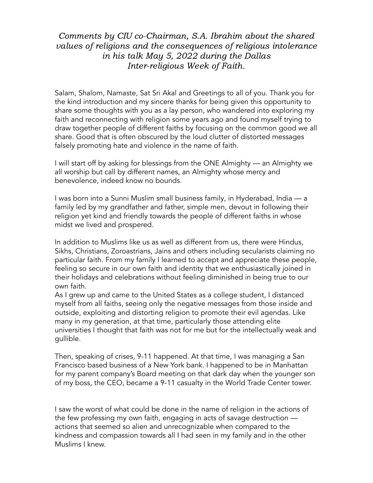## Comments by CIU co-Chairman, S.A. Ibrahim about the shared values of religions and the consequences of religious intolerance in his talk May 5, 2022 during the Dallas Inter-religious Week of Faith.

Salam, Shalom, Namaste, Sat Sri Akal and Greetings to all of you. Thank you for the kind introduction and my sincere thanks for being given this opportunity to share some thoughts with you as a lay person, who wandered into exploring my faith and reconnecting with religion some years ago and found myself trying to draw together people of different faiths by focusing on the common good we all share. Good that is often obscured by the loud clutter of distorted messages falsely promoting hate and violence in the name of faith.

I will start off by asking for blessings from the ONE Almighty — an Almighty we all worship but call by different names, an Almighty whose mercy and benevolence, indeed know no bounds.

I was born into a Sunni Muslim small business family, in Hyderabad, India — a family led by my grandfather and father, simple men, devout in following their religion yet kind and friendly towards the people of different faiths in whose midst we lived and prospered.

In addition to Muslims like us as well as different from us, there were Hindus, Sikhs, Christians, Zoroastrians, Jains and others including secularists claiming no particular faith. From my family I learned to accept and appreciate these people, feeling so secure in our own faith and identity that we enthusiastically joined in their holidays and celebrations without feeling diminished in being true to our own faith.

As I grew up and came to the United States as a college student, I distanced myself from all faiths, seeing only the negative messages from those inside and outside, exploiting and distorting religion to promote their evil agendas. Like many in my generation, at that time, particularly those attending elite universities I thought that faith was not for me but for the intellectually weak and gullible.

Then, speaking of crises, 9-11 happened. At that time, I was managing a San Francisco based business of a New York bank. I happened to be in Manhattan for my parent company's Board meeting on that dark day when the younger son of my boss, the CEO, became a 9-11 casualty in the World Trade Center tower.

I saw the worst of what could be done in the name of religion in the actions of the few professing my own faith, engaging in acts of savage destruction actions that seemed so alien and unrecognizable when compared to the kindness and compassion towards all I had seen in my family and in the other Muslims I knew.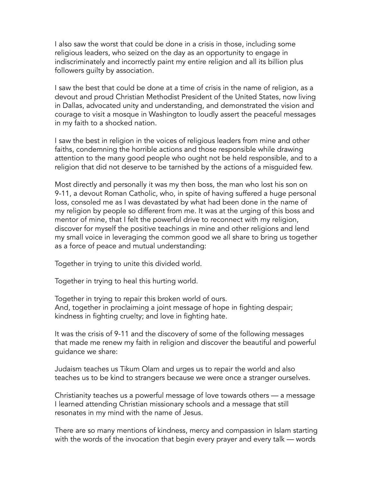I also saw the worst that could be done in a crisis in those, including some religious leaders, who seized on the day as an opportunity to engage in indiscriminately and incorrectly paint my entire religion and all its billion plus followers guilty by association.

I saw the best that could be done at a time of crisis in the name of religion, as a devout and proud Christian Methodist President of the United States, now living in Dallas, advocated unity and understanding, and demonstrated the vision and courage to visit a mosque in Washington to loudly assert the peaceful messages in my faith to a shocked nation.

I saw the best in religion in the voices of religious leaders from mine and other faiths, condemning the horrible actions and those responsible while drawing attention to the many good people who ought not be held responsible, and to a religion that did not deserve to be tarnished by the actions of a misguided few.

Most directly and personally it was my then boss, the man who lost his son on 9-11, a devout Roman Catholic, who, in spite of having suffered a huge personal loss, consoled me as I was devastated by what had been done in the name of my religion by people so different from me. It was at the urging of this boss and mentor of mine, that I felt the powerful drive to reconnect with my religion, discover for myself the positive teachings in mine and other religions and lend my small voice in leveraging the common good we all share to bring us together as a force of peace and mutual understanding:

Together in trying to unite this divided world.

Together in trying to heal this hurting world.

Together in trying to repair this broken world of ours. And, together in proclaiming a joint message of hope in fighting despair; kindness in fighting cruelty; and love in fighting hate.

It was the crisis of 9-11 and the discovery of some of the following messages that made me renew my faith in religion and discover the beautiful and powerful guidance we share:

Judaism teaches us Tikum Olam and urges us to repair the world and also teaches us to be kind to strangers because we were once a stranger ourselves.

Christianity teaches us a powerful message of love towards others — a message I learned attending Christian missionary schools and a message that still resonates in my mind with the name of Jesus.

There are so many mentions of kindness, mercy and compassion in Islam starting with the words of the invocation that begin every prayer and every talk — words